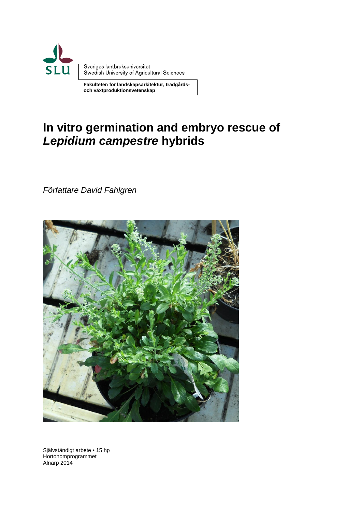

 **Fakulteten för landskapsarkitektur, trädgårds och växtproduktionsvetenskap**

# **In vitro germination and embryo rescue of**  *Lepidium campestre* **hybrids**

*Författare David Fahlgren*



Självständigt arbete • 15 hp Hortonomprogrammet Alnarp 2014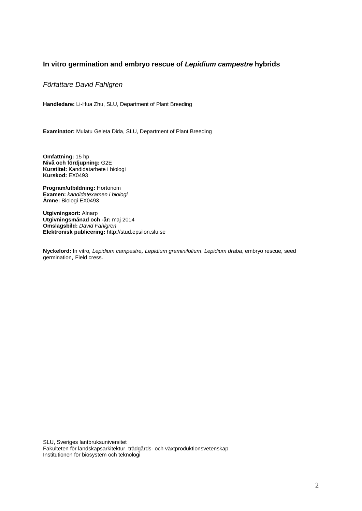#### **In vitro germination and embryo rescue of** *Lepidium campestre* **hybrids**

#### *Författare David Fahlgren*

**Handledare:** Li-Hua Zhu, SLU, Department of Plant Breeding

**Examinator:** Mulatu Geleta Dida, SLU, Department of Plant Breeding

**Omfattning:** 15 hp **Nivå och fördjupning:** G2E **Kurstitel:** Kandidatarbete i biologi **Kurskod:** EX0493

**Program/utbildning:** Hortonom **Examen:** *kandidatexamen i biologi* **Ämne:** Biologi EX0493

**Utgivningsort:** Alnarp **Utgivningsmånad och -år:** maj 2014 **Omslagsbild:** *David Fahlgren* **Elektronisk publicering:** http://stud.epsilon.slu.se

**Nyckelord:** In vitro*, Lepidium campestre, Lepidium graminifolium*, *Lepidium draba*, embryo rescue*,* seed germination, Field cress.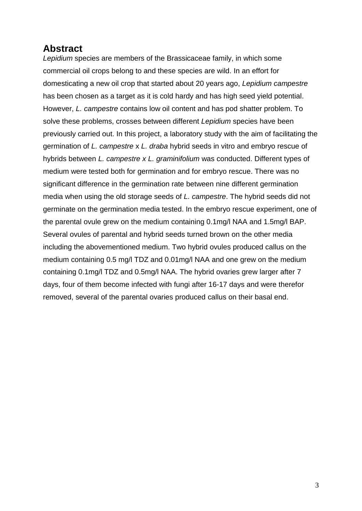# **Abstract**

*Lepidium* species are members of the Brassicaceae family, in which some commercial oil crops belong to and these species are wild. In an effort for domesticating a new oil crop that started about 20 years ago, *Lepidium campestre* has been chosen as a target as it is cold hardy and has high seed yield potential. However, *L. campestre* contains low oil content and has pod shatter problem. To solve these problems, crosses between different *Lepidium* species have been previously carried out. In this project, a laboratory study with the aim of facilitating the germination of *L. campestre* x *L. draba* hybrid seeds in vitro and embryo rescue of hybrids between *L. campestre x L. graminifolium* was conducted. Different types of medium were tested both for germination and for embryo rescue. There was no significant difference in the germination rate between nine different germination media when using the old storage seeds of *L. campestre*. The hybrid seeds did not germinate on the germination media tested. In the embryo rescue experiment, one of the parental ovule grew on the medium containing 0.1mg/l NAA and 1.5mg/l BAP. Several ovules of parental and hybrid seeds turned brown on the other media including the abovementioned medium. Two hybrid ovules produced callus on the medium containing 0.5 mg/l TDZ and 0.01mg/l NAA and one grew on the medium containing 0.1mg/l TDZ and 0.5mg/l NAA. The hybrid ovaries grew larger after 7 days, four of them become infected with fungi after 16-17 days and were therefor removed, several of the parental ovaries produced callus on their basal end.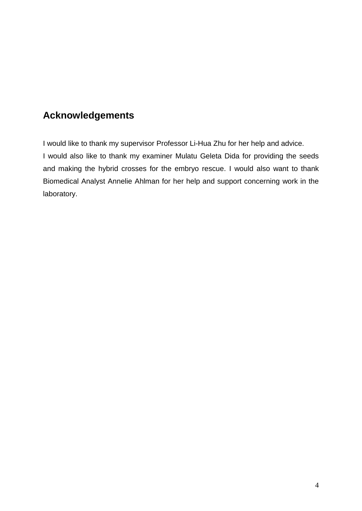# **Acknowledgements**

I would like to thank my supervisor Professor Li-Hua Zhu for her help and advice. I would also like to thank my examiner Mulatu Geleta Dida for providing the seeds and making the hybrid crosses for the embryo rescue. I would also want to thank Biomedical Analyst Annelie Ahlman for her help and support concerning work in the laboratory.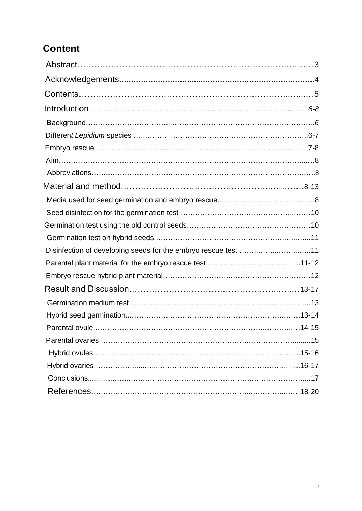# **Content**

| Disinfection of developing seeds for the embryo rescue test 11 |  |
|----------------------------------------------------------------|--|
|                                                                |  |
|                                                                |  |
|                                                                |  |
|                                                                |  |
|                                                                |  |
|                                                                |  |
|                                                                |  |
|                                                                |  |
|                                                                |  |
|                                                                |  |
|                                                                |  |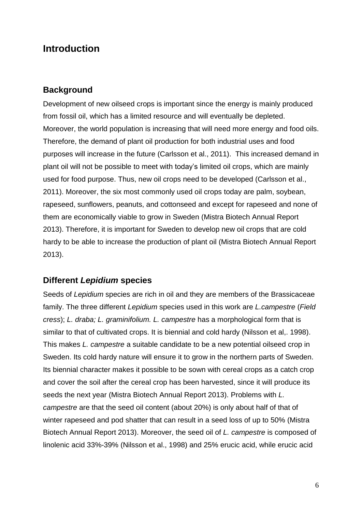# **Introduction**

#### **Background**

Development of new oilseed crops is important since the energy is mainly produced from fossil oil, which has a limited resource and will eventually be depleted. Moreover, the world population is increasing that will need more energy and food oils. Therefore, the demand of plant oil production for both industrial uses and food purposes will increase in the future (Carlsson et al., 2011). This increased demand in plant oil will not be possible to meet with today's limited oil crops, which are mainly used for food purpose. Thus, new oil crops need to be developed (Carlsson et al., 2011). Moreover, the six most commonly used oil crops today are palm, soybean, rapeseed, sunflowers, peanuts, and cottonseed and except for rapeseed and none of them are economically viable to grow in Sweden (Mistra Biotech Annual Report 2013). Therefore, it is important for Sweden to develop new oil crops that are cold hardy to be able to increase the production of plant oil (Mistra Biotech Annual Report 2013).

# **Different** *Lepidium* **species**

Seeds of *Lepidium* species are rich in oil and they are members of the Brassicaceae family. The three different *Lepidium* species used in this work are *L.campestre* (*Field cress*); *L. draba; L. graminifolium. L. campestre* has a morphological form that is similar to that of cultivated crops. It is biennial and cold hardy (Nilsson et al,. 1998). This makes *L. campestre* a suitable candidate to be a new potential oilseed crop in Sweden. Its cold hardy nature will ensure it to grow in the northern parts of Sweden. Its biennial character makes it possible to be sown with cereal crops as a catch crop and cover the soil after the cereal crop has been harvested, since it will produce its seeds the next year (Mistra Biotech Annual Report 2013). Problems with *L. campestre* are that the seed oil content (about 20%) is only about half of that of winter rapeseed and pod shatter that can result in a seed loss of up to 50% (Mistra Biotech Annual Report 2013). Moreover, the seed oil of *L. campestre* is composed of linolenic acid 33%-39% (Nilsson et al., 1998) and 25% erucic acid, while erucic acid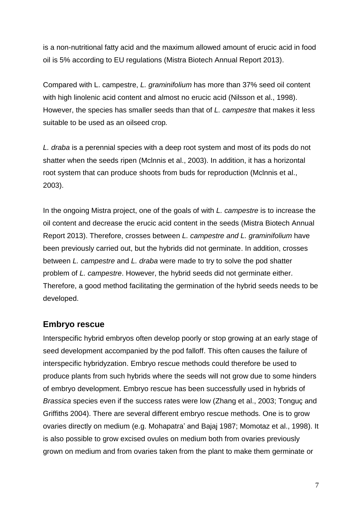is a non-nutritional fatty acid and the maximum allowed amount of erucic acid in food oil is 5% according to EU regulations (Mistra Biotech Annual Report 2013).

Compared with L. campestre, *L. graminifolium* has more than 37% seed oil content with high linolenic acid content and almost no erucic acid (Nilsson et al., 1998). However, the species has smaller seeds than that of *L. campestre* that makes it less suitable to be used as an oilseed crop*.*

*L. draba* is a perennial species with a deep root system and most of its pods do not shatter when the seeds ripen (Mclnnis et al., 2003). In addition, it has a horizontal root system that can produce shoots from buds for reproduction (Mclnnis et al., 2003).

In the ongoing Mistra project, one of the goals of with *L. campestre* is to increase the oil content and decrease the erucic acid content in the seeds (Mistra Biotech Annual Report 2013). Therefore, crosses between *L. campestre and L. graminifolium* have been previously carried out, but the hybrids did not germinate. In addition, crosses between *L. campestre* and *L. draba* were made to try to solve the pod shatter problem of *L. campestre*. However, the hybrid seeds did not germinate either. Therefore, a good method facilitating the germination of the hybrid seeds needs to be developed.

## **Embryo rescue**

Interspecific hybrid embryos often develop poorly or stop growing at an early stage of seed development accompanied by the pod falloff. This often causes the failure of interspecific hybridyzation. Embryo rescue methods could therefore be used to produce plants from such hybrids where the seeds will not grow due to some hinders of embryo development. Embryo rescue has been successfully used in hybrids of *Brassica* species even if the success rates were low (Zhang et al., 2003; Tonguç and Griffiths 2004). There are several different embryo rescue methods. One is to grow ovaries directly on medium (e.g. Mohapatra' and Bajaj 1987; Momotaz et al., 1998). It is also possible to grow excised ovules on medium both from ovaries previously grown on medium and from ovaries taken from the plant to make them germinate or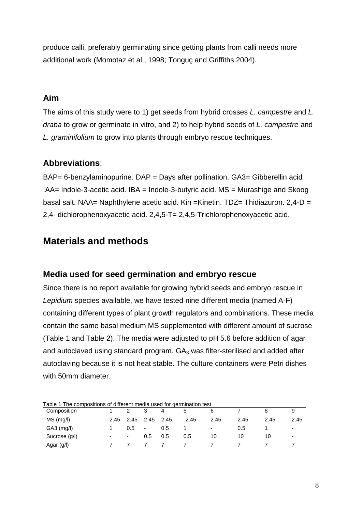produce calli, preferably germinating since getting plants from calli needs more additional work (Momotaz et al., 1998; Tonguç and Griffiths 2004).

## **Aim**

The aims of this study were to 1) get seeds from hybrid crosses *L. campestre* and *L. draba* to grow or germinate in vitro, and 2) to help hybrid seeds of *L. campestre* and *L. graminifolium* to grow into plants through embryo rescue techniques.

# **Abbreviations**:

BAP= 6-benzylaminopurine. DAP = Days after pollination. GA3= Gibberellin acid IAA= Indole-3-acetic acid. IBA = Indole-3-butyric acid. MS = Murashige and Skoog basal salt. NAA= Naphthylene acetic acid. Kin =Kinetin. TDZ= Thidiazuron. 2,4-D = 2,4- dichlorophenoxyacetic acid. 2,4,5-T= 2,4,5-Trichlorophenoxyacetic acid.

# **Materials and methods**

# **Media used for seed germination and embryo rescue**

Since there is no report available for growing hybrid seeds and embryo rescue in *Lepidium* species available, we have tested nine different media (named A-F) containing different types of plant growth regulators and combinations. These media contain the same basal medium MS supplemented with different amount of sucrose (Table 1 and Table 2). The media were adjusted to pH 5.6 before addition of agar and autoclaved using standard program.  $GA_3$  was filter-sterilised and added after autoclaving because it is not heat stable. The culture containers were Petri dishes with 50mm diameter.

| Table 1 The compositions of different media used for germination test |           |      |      |      |      |      |      |
|-----------------------------------------------------------------------|-----------|------|------|------|------|------|------|
| Composition                                                           |           | 4    | b    | 6    |      |      |      |
| $MS$ (mg/l)<br>2.45                                                   | 2.45 2.45 | 2.45 | 2.45 | 2.45 | 2.45 | 2.45 | 2.45 |
| $GA3$ (mg/l)                                                          | 0.5<br>٠  | 0.5  |      | ٠    | 0.5  |      | ۰    |
| Sucrose (g/l)<br>$\overline{\phantom{0}}$<br>$\overline{\phantom{a}}$ | 0.5       | 0.5  | 0.5  | 10   | 10   | 10   | -    |
| Agar (g/l)                                                            |           |      |      |      |      |      |      |

Table 1 The compositions of different media used for germination test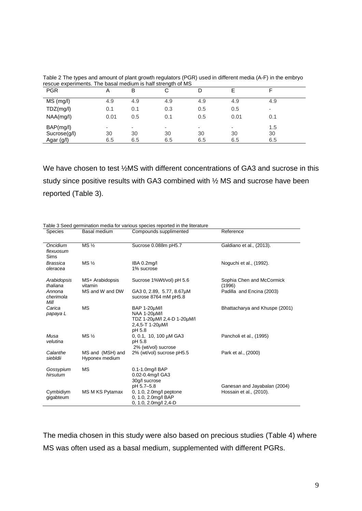| <b>PGR</b>                | A       | В       | ◡                              | D       |         |           |  |
|---------------------------|---------|---------|--------------------------------|---------|---------|-----------|--|
| $MS$ (mg/l)               | 4.9     | 4.9     | 4.9                            | 4.9     | 4.9     | 4.9       |  |
| TDZ(mg/l)                 | 0.1     | 0.1     | 0.3                            | 0.5     | 0.5     | ۰         |  |
| NAA(mg/l)                 | 0.01    | 0.5     | 0.1                            | 0.5     | 0.01    | 0.1       |  |
| BAP(mg/l)<br>Sucrose(g/l) | ۰<br>30 | ۰<br>30 | $\overline{\phantom{a}}$<br>30 | ۰<br>30 | ۰<br>30 | 1.5<br>30 |  |
| Agar (g/l)                | 6.5     | 6.5     | 6.5                            | 6.5     | 6.5     | 6.5       |  |

Table 2 The types and amount of plant growth regulators (PGR) used in different media (A-F) in the embryo rescue experiments. The basal medium is half strength of MS

We have chosen to test %MS with different concentrations of GA3 and sucrose in this study since positive results with GA3 combined with ½ MS and sucrose have been reported (Table 3).

|                               |                                    | Table 3 Seed germination media for various species reported in the literature             |                                     |
|-------------------------------|------------------------------------|-------------------------------------------------------------------------------------------|-------------------------------------|
| <b>Species</b>                | Basal medium                       | Compounds supplimented                                                                    | Reference                           |
| Oncidium<br>flexuosum<br>Sims | MS <sub>2</sub>                    | Sucrose 0.088m pH5.7                                                                      | Galdiano et al., (2013).            |
| Brassica<br>oleracea          | MS <sub>3</sub>                    | IBA 0.2mg/l<br>1% sucrose                                                                 | Noguchi et al., (1992).             |
| Arabidopsis<br>thaliana       | MS+ Arabidopsis<br>vitamin         | Sucrose 1%Wt/vol) pH 5.6                                                                  | Sophia Chen and McCormick<br>(1996) |
| Annona<br>cherimola<br>Mill   | MS and W and DW                    | GA3 0, 2.89, 5.77, 8.67µM<br>sucrose 8764 mM pH5.8                                        | Padilla and Encina (2003)           |
| Carica<br>papaya L            | <b>MS</b>                          | BAP 1-20µM/I<br>NAA 1-20µM/l<br>TDZ 1-20µM/l 2,4-D 1-20µM/l<br>2,4,5-T 1-20µM/l<br>pH 5.8 | Bhattacharya and Khuspe (2001)      |
| Musa<br>velutina              | MS <sub>2</sub>                    | 0, 0.1, 10, 100 µM GA3<br>pH 5.8<br>2% (wt/vol) sucrose                                   | Pancholi et al., (1995)             |
| Calanthe<br>siebldii          | MS and (MSH) and<br>Hyponex medium | 2% (wt/vol) sucrose pH5.5                                                                 | Park et al., (2000)                 |
| Gossypium<br>hirsutum         | <b>MS</b>                          | 0.1-1.0mg/l BAP<br>0.02-0.4mg/l GA3<br>30q/l sucrose<br>pH 5.7-5.8                        | Ganesan and Jayabalan (2004)        |
| Cymbidiym<br>gigabteum        | MS M KS Pytamax                    | $0, 1.0, 2.0$ mg/l peptone<br>0, 1.0, 2.0mg/l BAP<br>0, 1.0, 2.0mg/l 2,4-D                | Hossain et al., (2010).             |

The media chosen in this study were also based on precious studies (Table 4) where MS was often used as a basal medium, supplemented with different PGRs.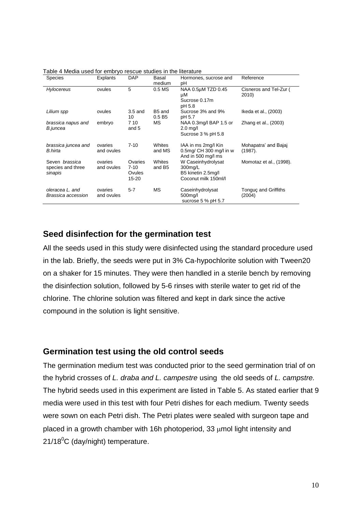| <b>Species</b>                                        | Explants              | <b>DAP</b>                             | Basal<br>medium              | Hormones, sucrose and<br>рH                                                 | Reference                       |
|-------------------------------------------------------|-----------------------|----------------------------------------|------------------------------|-----------------------------------------------------------------------------|---------------------------------|
| Hylocereus                                            | ovules                | 5                                      | 0.5 <sub>M</sub> S           | NAA 0.5µM TZD 0.45<br>μM<br>Sucrose 0.17m<br>pH 5.8                         | Cisneros and Tel-Zur (<br>2010) |
| Lilium spp                                            | ovules                | $3.5$ and<br>10                        | B5 and<br>0.5 B5             | Sucrose 3% and 9%<br>pH 5.7                                                 | Ikeda et al., (2003)            |
| brassica napus and<br>B.juncea                        | embryo                | 7 10<br>and 5                          | МS                           | NAA 0.3mg/l BAP 1.5 or<br>$2.0 \text{ m}$ a/l<br>Sucrose 3 % pH 5.8         | Zhang et al., (2003)            |
| brassica juncea and<br><b>B.hirta</b>                 | ovaries<br>and ovules | $7 - 10$                               | <b>Whites</b><br>and MS      | IAA in ms 2mg/l Kin<br>0.5mg/ CH 300 mg/l in w<br>And in 500 mg/l ms        | Mohapatra' and Bajaj<br>(1987). |
| Seven <i>brassica</i><br>species and three<br>sinapis | ovaries<br>and ovules | Ovaries<br>$7 - 10$<br>Ovules<br>15-20 | Whites<br>and B <sub>5</sub> | W Caseinhydrolysat<br>300mg/L<br>B5 kinetin 2.5mg/l<br>Coconut milk 150ml/l | Momotaz et al., (1998).         |
| oleracea L, and<br>Brassica accession                 | ovaries<br>and ovules | $5 - 7$                                | <b>MS</b>                    | Caseinhydrolysat<br>500mg/l<br>sucrose $5%$ pH $5.7$                        | Tonguç and Griffiths<br>(2004)  |

Table 4 Media used for embryo rescue studies in the literature

## **Seed disinfection for the germination test**

All the seeds used in this study were disinfected using the standard procedure used in the lab. Briefly, the seeds were put in 3% Ca-hypochlorite solution with Tween20 on a shaker for 15 minutes. They were then handled in a sterile bench by removing the disinfection solution, followed by 5-6 rinses with sterile water to get rid of the chlorine. The chlorine solution was filtered and kept in dark since the active compound in the solution is light sensitive.

#### **Germination test using the old control seeds**

The germination medium test was conducted prior to the seed germination trial of on the hybrid crosses of *L. draba and L. campestre* using the old seeds of *L. campstre.*  The hybrid seeds used in this experiment are listed in Table 5. As stated earlier that 9 media were used in this test with four Petri dishes for each medium. Twenty seeds were sown on each Petri dish. The Petri plates were sealed with surgeon tape and placed in a growth chamber with 16h photoperiod, 33 umol light intensity and  $21/18^0C$  (day/night) temperature.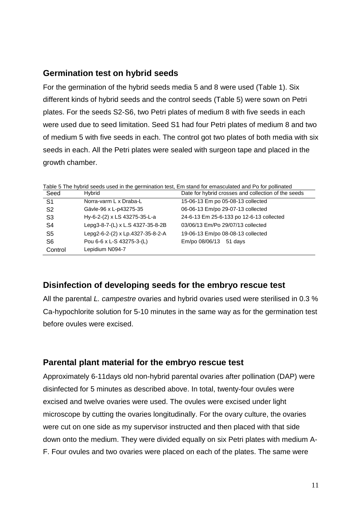## **Germination test on hybrid seeds**

For the germination of the hybrid seeds media 5 and 8 were used (Table 1). Six different kinds of hybrid seeds and the control seeds (Table 5) were sown on Petri plates. For the seeds S2-S6, two Petri plates of medium 8 with five seeds in each were used due to seed limitation. Seed S1 had four Petri plates of medium 8 and two of medium 5 with five seeds in each. The control got two plates of both media with six seeds in each. All the Petri plates were sealed with surgeon tape and placed in the growth chamber.

| Seed           | Hvbrid                           | Date for hybrid crosses and collection of the seeds |
|----------------|----------------------------------|-----------------------------------------------------|
| S <sub>1</sub> | Norra-varm L x Draba-L           | 15-06-13 Em po 05-08-13 collected                   |
| S2             | Gävle-96 x L-p43275-35           | 06-06-13 Em/po 29-07-13 collected                   |
| S3             | Hy-6-2-(2) x LS 43275-35-L-a     | 24-6-13 Em 25-6-133 po 12-6-13 collected            |
| S4             | Lepg3-8-7-(L) x L.S 4327-35-8-2B | 03/06/13 Em/Po 29/07/13 collected                   |
| S5             | Lepg2-6-2-(2) x Lp.4327-35-8-2-A | 19-06-13 Em/po 08-08-13 collected                   |
| S6             | Pou 6-6 x L-S 43275-3-(L)        | Em/po 08/06/13 51 days                              |
| Control        | Lepidium N094-7                  |                                                     |

Table 5 The hybrid seeds used in the germination test, Em stand for emasculated and Po for pollinated

# **Disinfection of developing seeds for the embryo rescue test**

All the parental *L. campestre* ovaries and hybrid ovaries used were sterilised in 0.3 % Ca-hypochlorite solution for 5-10 minutes in the same way as for the germination test before ovules were excised.

# **Parental plant material for the embryo rescue test**

Approximately 6-11days old non-hybrid parental ovaries after pollination (DAP) were disinfected for 5 minutes as described above. In total, twenty-four ovules were excised and twelve ovaries were used. The ovules were excised under light microscope by cutting the ovaries longitudinally. For the ovary culture, the ovaries were cut on one side as my supervisor instructed and then placed with that side down onto the medium. They were divided equally on six Petri plates with medium A-F. Four ovules and two ovaries were placed on each of the plates. The same were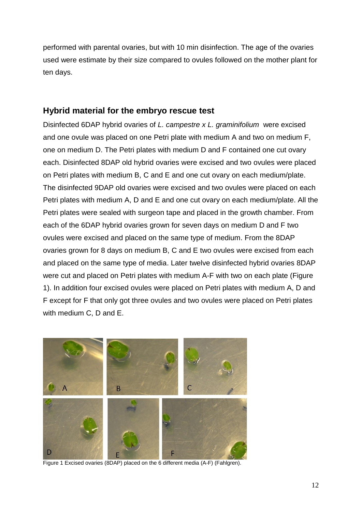performed with parental ovaries, but with 10 min disinfection. The age of the ovaries used were estimate by their size compared to ovules followed on the mother plant for ten days.

#### **Hybrid material for the embryo rescue test**

Disinfected 6DAP hybrid ovaries of *L. campestre x L. graminifolium* were excised and one ovule was placed on one Petri plate with medium A and two on medium F, one on medium D. The Petri plates with medium D and F contained one cut ovary each. Disinfected 8DAP old hybrid ovaries were excised and two ovules were placed on Petri plates with medium B, C and E and one cut ovary on each medium/plate. The disinfected 9DAP old ovaries were excised and two ovules were placed on each Petri plates with medium A, D and E and one cut ovary on each medium/plate. All the Petri plates were sealed with surgeon tape and placed in the growth chamber. From each of the 6DAP hybrid ovaries grown for seven days on medium D and F two ovules were excised and placed on the same type of medium. From the 8DAP ovaries grown for 8 days on medium B, C and E two ovules were excised from each and placed on the same type of media. Later twelve disinfected hybrid ovaries 8DAP were cut and placed on Petri plates with medium A-F with two on each plate (Figure 1). In addition four excised ovules were placed on Petri plates with medium A, D and F except for F that only got three ovules and two ovules were placed on Petri plates with medium C, D and E.



Figure 1 Excised ovaries (8DAP) placed on the 6 different media (A-F) (Fahlgren).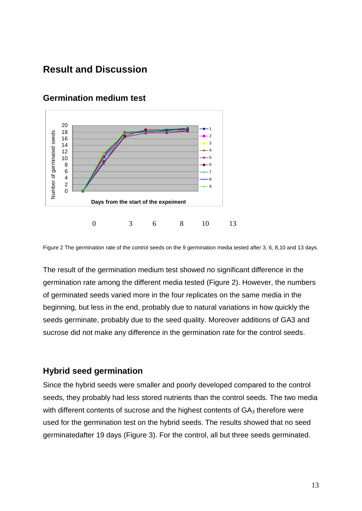# **Result and Discussion**



## **Germination medium test**

Figure 2 The germination rate of the control seeds on the 9 germination media tested after 3, 6, 8,10 and 13 days.

The result of the germination medium test showed no significant difference in the germination rate among the different media tested (Figure 2). However, the numbers of germinated seeds varied more in the four replicates on the same media in the beginning, but less in the end, probably due to natural variations in how quickly the seeds germinate, probably due to the seed quality. Moreover additions of GA3 and sucrose did not make any difference in the germination rate for the control seeds.

#### **Hybrid seed germination**

Since the hybrid seeds were smaller and poorly developed compared to the control seeds, they probably had less stored nutrients than the control seeds. The two media with different contents of sucrose and the highest contents of  $GA<sub>3</sub>$  therefore were used for the germination test on the hybrid seeds. The results showed that no seed germinatedafter 19 days (Figure 3). For the control, all but three seeds germinated.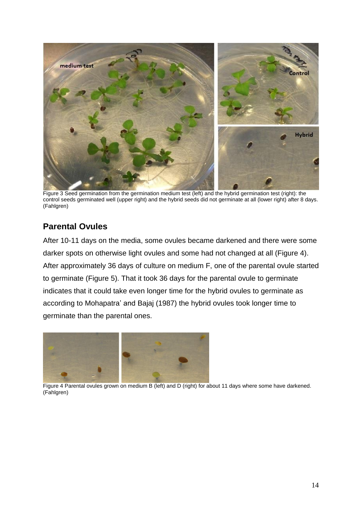

Figure 3 Seed germination from the germination medium test (left) and the hybrid germination test (right): the control seeds germinated well (upper right) and the hybrid seeds did not germinate at all (lower right) after 8 days. (Fahlgren)

# **Parental Ovules**

After 10-11 days on the media, some ovules became darkened and there were some darker spots on otherwise light ovules and some had not changed at all (Figure 4). After approximately 36 days of culture on medium F, one of the parental ovule started to germinate (Figure 5). That it took 36 days for the parental ovule to germinate indicates that it could take even longer time for the hybrid ovules to germinate as according to Mohapatra' and Bajaj (1987) the hybrid ovules took longer time to germinate than the parental ones.



Figure 4 Parental ovules grown on medium B (left) and D (right) for about 11 days where some have darkened. (Fahlgren)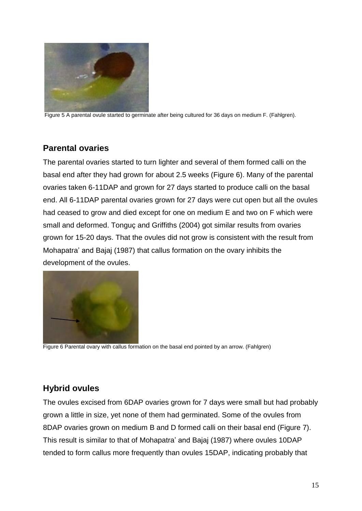

Figure 5 A parental ovule started to germinate after being cultured for 36 days on medium F. (Fahlgren).

# **Parental ovaries**

The parental ovaries started to turn lighter and several of them formed calli on the basal end after they had grown for about 2.5 weeks (Figure 6). Many of the parental ovaries taken 6-11DAP and grown for 27 days started to produce calli on the basal end. All 6-11DAP parental ovaries grown for 27 days were cut open but all the ovules had ceased to grow and died except for one on medium E and two on F which were small and deformed. Tonguç and Griffiths (2004) got similar results from ovaries grown for 15-20 days. That the ovules did not grow is consistent with the result from Mohapatra' and Bajaj (1987) that callus formation on the ovary inhibits the development of the ovules.



Figure 6 Parental ovary with callus formation on the basal end pointed by an arrow. (Fahlgren)

# **Hybrid ovules**

The ovules excised from 6DAP ovaries grown for 7 days were small but had probably grown a little in size, yet none of them had germinated. Some of the ovules from 8DAP ovaries grown on medium B and D formed calli on their basal end (Figure 7). This result is similar to that of Mohapatra' and Bajaj (1987) where ovules 10DAP tended to form callus more frequently than ovules 15DAP, indicating probably that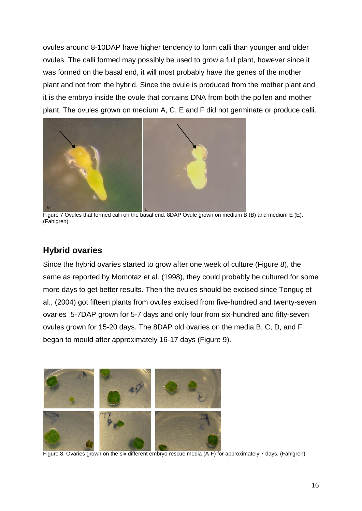ovules around 8-10DAP have higher tendency to form calli than younger and older ovules. The calli formed may possibly be used to grow a full plant, however since it was formed on the basal end, it will most probably have the genes of the mother plant and not from the hybrid. Since the ovule is produced from the mother plant and it is the embryo inside the ovule that contains DNA from both the pollen and mother plant. The ovules grown on medium A, C, E and F did not germinate or produce calli.



Figure 7 Ovules that formed calli on the basal end. 8DAP Ovule grown on medium B (B) and medium E (E). (Fahlgren)

# **Hybrid ovaries**

Since the hybrid ovaries started to grow after one week of culture (Figure 8), the same as reported by Momotaz et al. (1998), they could probably be cultured for some more days to get better results. Then the ovules should be excised since Tonguç et al., (2004) got fifteen plants from ovules excised from five-hundred and twenty-seven ovaries 5-7DAP grown for 5-7 days and only four from six-hundred and fifty-seven ovules grown for 15-20 days. The 8DAP old ovaries on the media B, C, D, and F began to mould after approximately 16-17 days (Figure 9).



Figure 8. Ovaries grown on the six different embryo rescue media (A-F) for approximately 7 days. (Fahlgren)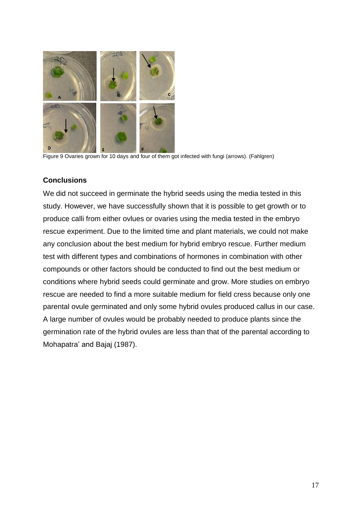

Figure 9 Ovaries grown for 10 days and four of them got infected with fungi (arrows). (Fahlgren)

#### **Conclusions**

We did not succeed in germinate the hybrid seeds using the media tested in this study. However, we have successfully shown that it is possible to get growth or to produce calli from either ovlues or ovaries using the media tested in the embryo rescue experiment. Due to the limited time and plant materials, we could not make any conclusion about the best medium for hybrid embryo rescue. Further medium test with different types and combinations of hormones in combination with other compounds or other factors should be conducted to find out the best medium or conditions where hybrid seeds could germinate and grow. More studies on embryo rescue are needed to find a more suitable medium for field cress because only one parental ovule germinated and only some hybrid ovules produced callus in our case. A large number of ovules would be probably needed to produce plants since the germination rate of the hybrid ovules are less than that of the parental according to Mohapatra' and Bajaj (1987).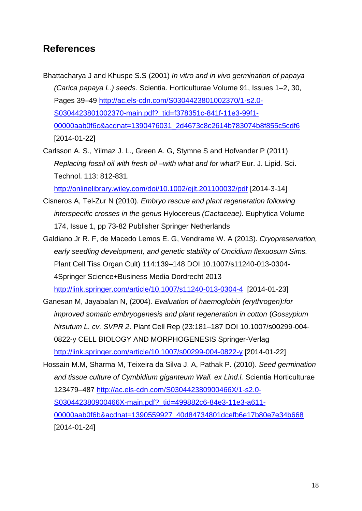# **References**

- Bhattacharya J and Khuspe S.S (2001) *In vitro and in vivo germination of papaya (Carica papaya L.) seeds.* Scientia. Horticulturae Volume 91, Issues 1–2, 30, Pages 39–49 [http://ac.els-cdn.com/S0304423801002370/1-s2.0-](http://ac.els-cdn.com/S0304423801002370/1-s2.0-S0304423801002370-main.pdf?_tid=f378351c-841f-11e3-99f1-00000aab0f6c&acdnat=1390476031_2d4673c8c2614b783074b8f855c5cdf6) [S0304423801002370-main.pdf?\\_tid=f378351c-841f-11e3-99f1-](http://ac.els-cdn.com/S0304423801002370/1-s2.0-S0304423801002370-main.pdf?_tid=f378351c-841f-11e3-99f1-00000aab0f6c&acdnat=1390476031_2d4673c8c2614b783074b8f855c5cdf6) [00000aab0f6c&acdnat=1390476031\\_2d4673c8c2614b783074b8f855c5cdf6](http://ac.els-cdn.com/S0304423801002370/1-s2.0-S0304423801002370-main.pdf?_tid=f378351c-841f-11e3-99f1-00000aab0f6c&acdnat=1390476031_2d4673c8c2614b783074b8f855c5cdf6) [2014-01-22]
- Carlsson A. S., Yilmaz J. L., Green A. G, Stymne S and Hofvander P (2011) *Replacing fossil oil with fresh oil –with what and for what?* Eur. J. Lipid. Sci. Technol. 113: 812-831.

<http://onlinelibrary.wiley.com/doi/10.1002/ejlt.201100032/pdf> [2014-3-14]

- Cisneros A, Tel-Zur N (2010). *Embryo rescue and plant regeneration following interspecific crosses in the genus* Hylocereus *(Cactaceae).* Euphytica Volume 174, Issue 1, pp 73-82 Publisher Springer Netherlands
- Galdiano Jr R. F, de Macedo Lemos E. G, Vendrame W. A (2013). *Cryopreservation, early seedling development, and genetic stability of Oncidium flexuosum Sims.* Plant Cell Tiss Organ Cult) 114:139–148 DOI 10.1007/s11240-013-0304- 4Springer Science+Business Media Dordrecht 2013 <http://link.springer.com/article/10.1007/s11240-013-0304-4>[2014-01-23]
- Ganesan M, Jayabalan N, (2004)*. Evaluation of haemoglobin (erythrogen):for improved somatic embryogenesis and plant regeneration in cotton* (*Gossypium hirsutum L. cv. SVPR 2*. Plant Cell Rep (23:181–187 DOI 10.1007/s00299-004- 0822-y CELL BIOLOGY AND MORPHOGENESIS Springer-Verlag <http://link.springer.com/article/10.1007/s00299-004-0822-y> [2014-01-22]

Hossain M.M, Sharma M, Teixeira da Silva J. A, Pathak P. (2010). *Seed germination and tissue culture of Cymbidium giganteum Wall. ex Lind.l.* Scientia Horticulturae 123479–487 [http://ac.els-cdn.com/S030442380900466X/1-s2.0-](http://ac.els-cdn.com/S030442380900466X/1-s2.0-S030442380900466X-main.pdf?_tid=499882c6-84e3-11e3-a611-00000aab0f6b&acdnat=1390559927_40d84734801dcefb6e17b80e7e34b668) [S030442380900466X-main.pdf?\\_tid=499882c6-84e3-11e3-a611-](http://ac.els-cdn.com/S030442380900466X/1-s2.0-S030442380900466X-main.pdf?_tid=499882c6-84e3-11e3-a611-00000aab0f6b&acdnat=1390559927_40d84734801dcefb6e17b80e7e34b668) [00000aab0f6b&acdnat=1390559927\\_40d84734801dcefb6e17b80e7e34b668](http://ac.els-cdn.com/S030442380900466X/1-s2.0-S030442380900466X-main.pdf?_tid=499882c6-84e3-11e3-a611-00000aab0f6b&acdnat=1390559927_40d84734801dcefb6e17b80e7e34b668) [2014-01-24]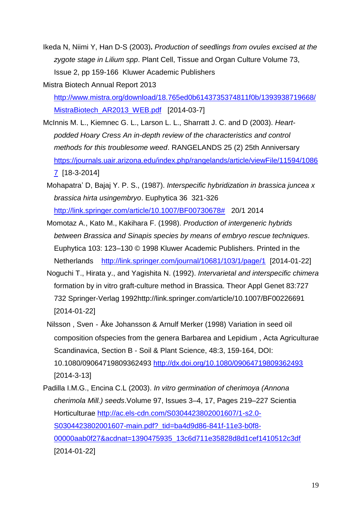Ikeda N, Niimi Y, Han D-S (2003)**.** *Production of seedlings from ovules excised at the zygote stage in Lilium spp*. Plant Cell, Tissue and Organ Culture Volume 73, Issue 2, pp 159-166 Kluwer Academic Publishers

Mistra Biotech Annual Report 2013

[http://www.mistra.org/download/18.765ed0b6143735374811f0b/1393938719668/](http://www.mistra.org/download/18.765ed0b6143735374811f0b/1393938719668/MistraBiotech_AR2013_WEB.pdf) MistraBiotech AR2013 WEB.pdf [2014-03-7]

- McInnis M. L., Kiemnec G. L., Larson L. L., Sharratt J. C. and D (2003). *Heartpodded Hoary Cress An in-depth review of the characteristics and control methods for this troublesome weed*. RANGELANDS 25 (2) 25th Anniversary [https://journals.uair.arizona.edu/index.php/rangelands/article/viewFile/11594/1086](https://journals.uair.arizona.edu/index.php/rangelands/article/viewFile/11594/10867) [7](https://journals.uair.arizona.edu/index.php/rangelands/article/viewFile/11594/10867) [18-3-2014]
- Mohapatra' D, Bajaj Y. P. S., (1987). *Interspecific hybridization in brassica juncea x brassica hirta usingembryo*. Euphytica 36 321-326 [http://link.springer.com/article/10.1007/BF00730678#](http://link.springer.com/article/10.1007/BF00730678) 20/1 2014
- Momotaz A., Kato M., Kakihara F. (1998). *Production of intergeneric hybrids between Brassica and Sinapis species by means of embryo rescue techniques.*  Euphytica 103: 123–130 © 1998 Kluwer Academic Publishers. Printed in the Netherlands <http://link.springer.com/journal/10681/103/1/page/1>[2014-01-22]
- Noguchi T., Hirata y., and Yagishita N. (1992). *Intervarietal and interspecific chimera*  formation by in vitro graft-culture method in Brassica. Theor Appl Genet 83:727 732 Springer-Verlag 199[2http://link.springer.com/article/10.1007/BF00226691](http://link.springer.com/article/10.1007/BF00226691) [2014-01-22]
- Nilsson , Sven‐Åke Johansson & Arnulf Merker (1998) Variation in seed oil composition ofspecies from the genera Barbarea and Lepidium , Acta Agriculturae Scandinavica, Section B - Soil & Plant Science, 48:3, 159-164, DOI: 10.1080/09064719809362493<http://dx.doi.org/10.1080/09064719809362493> [2014-3-13]
- Padilla I.M.G., Encina C.L (2003). *In vitro germination of cherimoya (Annona cherimola Mill.) seeds*.Volume 97, Issues 3–4, 17, Pages 219–227 Scientia Horticulturae [http://ac.els-cdn.com/S0304423802001607/1-s2.0-](http://ac.els-cdn.com/S0304423802001607/1-s2.0-S0304423802001607-main.pdf?_tid=ba4d9d86-841f-11e3-b0f8-00000aab0f27&acdnat=1390475935_13c6d711e35828d8d1cef1410512c3df) S0304423802001607-main.pdf? tid=ba4d9d86-841f-11e3-b0f8-[00000aab0f27&acdnat=1390475935\\_13c6d711e35828d8d1cef1410512c3df](http://ac.els-cdn.com/S0304423802001607/1-s2.0-S0304423802001607-main.pdf?_tid=ba4d9d86-841f-11e3-b0f8-00000aab0f27&acdnat=1390475935_13c6d711e35828d8d1cef1410512c3df) [2014-01-22]